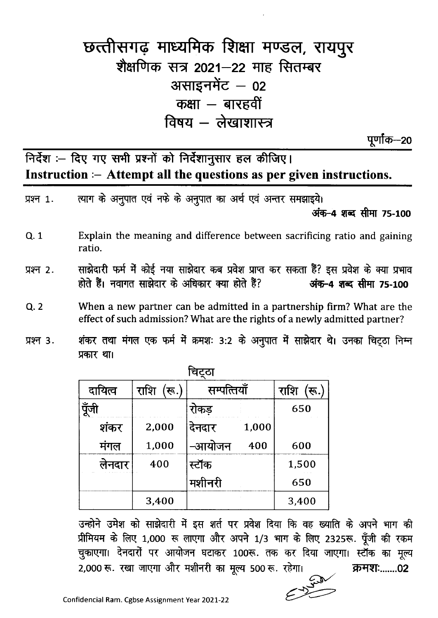## छत्तीसगढ़ माध्यमिक शिक्षा मण्डल, रायपुर शैक्षणिक सत्र 2021-22 माह सितम्बर असाइनमेंट - 02 कक्षा  $-$  बारहवीं विषय - लेखाशास्त्र

पूर्णांक—20

निर्देश :- दिए गए सभी प्रश्नों को निर्देशानुसार हल कीजिए। Instruction :- Attempt all the questions as per given instructions.

| प्रश्न 1. |                                                                                                                                                      |             | त्याग के अनुपात एवं नफे के अनुपात का अर्थ एवं अन्तर समझाइये।                                                                                  |             | अंक-4 शब्द सीमा 75-100 |  |  |
|-----------|------------------------------------------------------------------------------------------------------------------------------------------------------|-------------|-----------------------------------------------------------------------------------------------------------------------------------------------|-------------|------------------------|--|--|
| Q. 1      | ratio.                                                                                                                                               |             | Explain the meaning and difference between sacrificing ratio and gaining                                                                      |             |                        |  |  |
| प्रश्न 2. |                                                                                                                                                      |             | साझेदारी फर्म में कोई नया साझेदार कब प्रवेश प्राप्त कर सकता हैं? इस प्रवेश के क्या प्रभाव<br>होते हैं। नवागत साझेदार के अधिकार क्या होते हैं? |             | अंक-4 शब्द सीमा 75-100 |  |  |
| Q.2       | When a new partner can be admitted in a partnership firm? What are the<br>effect of such admission? What are the rights of a newly admitted partner? |             |                                                                                                                                               |             |                        |  |  |
| प्रश्न 3. | शंकर तथा मंगल एक फर्म में क्रमशः 3:2 के अनुपात में साझेदार थे। उनका चिट्ठा निम्न<br>प्रकार था।                                                       |             |                                                                                                                                               |             |                        |  |  |
|           | चिट्ठा                                                                                                                                               |             |                                                                                                                                               |             |                        |  |  |
|           | दायित्व                                                                                                                                              | राशि<br>रू. | सम्पत्तियाँ                                                                                                                                   | राशि<br>रू. |                        |  |  |
|           | पूँजी                                                                                                                                                |             | रोकड़                                                                                                                                         | 650         |                        |  |  |
|           | शकर                                                                                                                                                  | 2,000       | 1,000<br>दनदार                                                                                                                                |             |                        |  |  |

-आयोजन

स्टॉक

मशीनरी

उन्होने उमेश को साझेदारी में इस शर्त पर प्रवेश दिया कि वह ख्याति के अपने भाग की प्रीमियम के लिए 1,000 रू लाएगा और अपने 1/3 भाग के लिए 2325रू. पूँजी की रकम चुकाएगा। देनदारों पर आयोजन घटाकर 100रू. तक कर दिया जाएगा। स्टॉक का मूल्य 2,000 रू. रखा जाएगा और मशीनरी का मूल्य 500 रू. रहेगा। क्रमश:......02

400



600

1,500

650

3,400

1,000

400

3,400

मंगल

लेनदार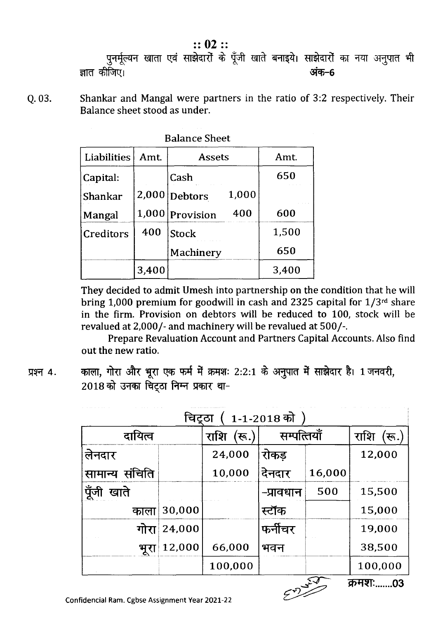$:: 02 ::$ पुनर्मूल्यन खाता एवं साझेदारों के पूँजी खाते बनाइये। साझेदारों का नया अनुपात भी ज्ञात कीजिए। अंक–6

Shankar and Mangal were partners in the ratio of 3:2 respectively. Their Q. 03. Balance sheet stood as under.

| <b>Balance Sheet</b> |       |                         |       |  |  |
|----------------------|-------|-------------------------|-------|--|--|
| Liabilities          | Amt   | <b>Assets</b>           | Amt.  |  |  |
| Capital:             |       | Cash                    | 650   |  |  |
| Shankar              | 2,000 | 1,000<br><b>Debtors</b> |       |  |  |
| Mangal               | 1,000 | 400<br>Provision        | 600   |  |  |
| Creditors            | 400   | Stock                   | 1,500 |  |  |
|                      |       | Machinery               | 650   |  |  |
|                      | 3,400 |                         | 3,400 |  |  |

They decided to admit Umesh into partnership on the condition that he will bring 1,000 premium for goodwill in cash and 2325 capital for  $1/3^{rd}$  share in the firm. Provision on debtors will be reduced to 100, stock will be revalued at 2,000/- and machinery will be revalued at 500/-.

Prepare Revaluation Account and Partners Capital Accounts. Also find out the new ratio.

प्रश्न 4.

काला, गोरा और भूरा एक फर्म में क्रमशः 2:2:1 के अनुपात में साझेदार है। 1 जनवरी, 2018 को उनका चिंटूठा निम्न प्रकार था-

| <b>1-1-2018</b> को<br>चिट्ठा |        |                  |             |        |             |  |
|------------------------------|--------|------------------|-------------|--------|-------------|--|
| दायित्व                      |        | राशि<br>स्त $.)$ | सम्पत्तियाँ |        | राशि<br>रू. |  |
| लेनदार                       |        | 24,000           | रोकड़       |        | 12,000      |  |
| सामान्य संचिति               |        | 10,000           | देनदार      | 16,000 |             |  |
| पूँजी<br>खाते                |        |                  | -प्रावधान   | 500    | 15,500      |  |
| काला                         | 30,000 |                  | स्टॉक       |        | 15,000      |  |
| गोरा                         | 24,000 |                  | फर्नीचर     |        | 19,000      |  |
| भूरा                         | 12,000 | 66,000           | भवन         |        | 38,500      |  |
|                              |        | 100,000          |             |        | 100,000     |  |
| क्रमश:<br>.03                |        |                  |             |        |             |  |



Confidencial Ram. Cgbse Assignment Year 2021-22